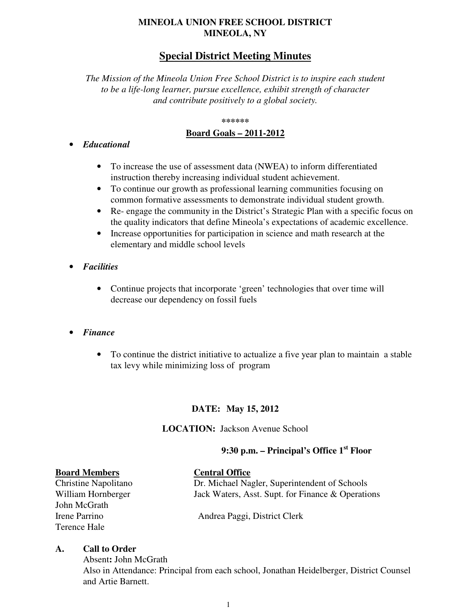## **MINEOLA UNION FREE SCHOOL DISTRICT MINEOLA, NY**

## **Special District Meeting Minutes**

*The Mission of the Mineola Union Free School District is to inspire each student to be a life-long learner, pursue excellence, exhibit strength of character and contribute positively to a global society.* 

#### **\*\*\*\*\*\***

#### **Board Goals – 2011-2012**

#### • *Educational*

- To increase the use of assessment data (NWEA) to inform differentiated instruction thereby increasing individual student achievement.
- To continue our growth as professional learning communities focusing on common formative assessments to demonstrate individual student growth.
- Re- engage the community in the District's Strategic Plan with a specific focus on the quality indicators that define Mineola's expectations of academic excellence.
- Increase opportunities for participation in science and math research at the elementary and middle school levels
- *Facilities* 
	- Continue projects that incorporate 'green' technologies that over time will decrease our dependency on fossil fuels

#### • *Finance*

• To continue the district initiative to actualize a five year plan to maintain a stable tax levy while minimizing loss of program

## **DATE: May 15, 2012**

#### **LOCATION:** Jackson Avenue School

## **9:30 p.m. – Principal's Office 1st Floor**

**Board Members**<br> **Central Office**<br> **Central Office**<br> **Dr. Michael Nag** John McGrath Terence Hale

## Dr. Michael Nagler, Superintendent of Schools William Hornberger Jack Waters, Asst. Supt. for Finance & Operations

Irene Parrino Andrea Paggi, District Clerk

#### **A. Call to Order**

Absent**:** John McGrath Also in Attendance: Principal from each school, Jonathan Heidelberger, District Counsel and Artie Barnett.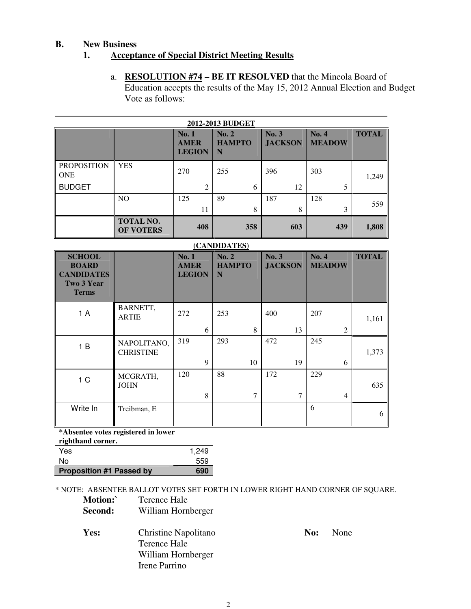## **B. New Business**

## **1. Acceptance of Special District Meeting Results**

a. **RESOLUTION #74 – BE IT RESOLVED** that the Mineola Board of Education accepts the results of the May 15, 2012 Annual Election and Budget Vote as follows:

| <b>2012-2013 BUDGET</b>          |                                      |                                      |                             |                         |                        |              |
|----------------------------------|--------------------------------------|--------------------------------------|-----------------------------|-------------------------|------------------------|--------------|
|                                  |                                      | No.1<br><b>AMER</b><br><b>LEGION</b> | No. 2<br><b>HAMPTO</b><br>N | No. 3<br><b>JACKSON</b> | No. 4<br><b>MEADOW</b> | <b>TOTAL</b> |
| <b>PROPOSITION</b><br><b>ONE</b> | <b>YES</b>                           | 270                                  | 255                         | 396                     | 303                    | 1,249        |
| <b>BUDGET</b>                    |                                      | $\overline{2}$                       | 6                           | 12                      |                        |              |
|                                  | N <sub>O</sub>                       | 125                                  | 89                          | 187                     | 128                    | 559          |
|                                  |                                      | 11                                   | 8                           | 8                       | 3                      |              |
|                                  | <b>TOTAL NO.</b><br><b>OF VOTERS</b> | 408                                  | 358                         | 603                     | 439                    | 1,808        |

| (CANDIDATES)                                                                     |                                 |                                              |                             |                         |                        |              |
|----------------------------------------------------------------------------------|---------------------------------|----------------------------------------------|-----------------------------|-------------------------|------------------------|--------------|
| <b>SCHOOL</b><br><b>BOARD</b><br><b>CANDIDATES</b><br>Two 3 Year<br><b>Terms</b> |                                 | <b>No. 1</b><br><b>AMER</b><br><b>LEGION</b> | No. 2<br><b>HAMPTO</b><br>N | No. 3<br><b>JACKSON</b> | No. 4<br><b>MEADOW</b> | <b>TOTAL</b> |
| 1 A                                                                              | BARNETT,<br><b>ARTIE</b>        | 272                                          | 253                         | 400                     | 207                    | 1,161        |
|                                                                                  |                                 | 6                                            | 8                           | 13                      | 2                      |              |
| 1B                                                                               | NAPOLITANO,<br><b>CHRISTINE</b> | 319                                          | 293                         | 472                     | 245                    | 1,373        |
|                                                                                  |                                 | 9                                            | 10                          | 19                      | 6                      |              |
| 1 <sup>C</sup>                                                                   | MCGRATH,<br><b>JOHN</b>         | 120                                          | 88                          | 172                     | 229                    | 635          |
|                                                                                  |                                 | 8                                            | 7                           | 7                       | $\overline{4}$         |              |
| Write In                                                                         | Treibman, E                     |                                              |                             |                         | 6                      | 6            |

**\*Absentee votes registered in lower** 

**righthand corner.** 

| Yes                             | 1.249 |
|---------------------------------|-------|
| N٥                              | 559   |
| <b>Proposition #1 Passed by</b> | 690   |

\* NOTE: ABSENTEE BALLOT VOTES SET FORTH IN LOWER RIGHT HAND CORNER OF SQUARE.

| Motion:<br>Second: | Terence Hale<br>William Hornberger   |     |      |
|--------------------|--------------------------------------|-----|------|
| Yes:               | Christine Napolitano<br>Terence Hale | No: | None |
|                    | William Hornberger                   |     |      |

Irene Parrino